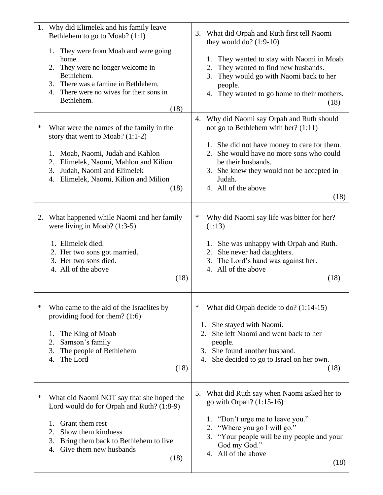| 1. | Why did Elimelek and his family leave<br>Bethlehem to go to Moab? (1:1)<br>They were from Moab and were going<br>1.<br>home.<br>They were no longer welcome in<br>2.<br>Bethlehem.<br>There was a famine in Bethlehem.<br>3.<br>There were no wives for their sons in<br>4.<br>Bethlehem.<br>(18) | What did Orpah and Ruth first tell Naomi<br>3.<br>they would do? $(1:9-10)$<br>They wanted to stay with Naomi in Moab.<br>1.<br>They wanted to find new husbands.<br>2.<br>They would go with Naomi back to her<br>3.<br>people.<br>They wanted to go home to their mothers.<br>4.<br>(18)        |
|----|---------------------------------------------------------------------------------------------------------------------------------------------------------------------------------------------------------------------------------------------------------------------------------------------------|---------------------------------------------------------------------------------------------------------------------------------------------------------------------------------------------------------------------------------------------------------------------------------------------------|
| ∗  | What were the names of the family in the<br>story that went to Moab? $(1:1-2)$<br>Moab, Naomi, Judah and Kahlon<br>1.<br>Elimelek, Naomi, Mahlon and Kilion<br>2.<br>3.<br>Judah, Naomi and Elimelek<br>Elimelek, Naomi, Kilion and Milion<br>4.<br>(18)                                          | Why did Naomi say Orpah and Ruth should<br>4.<br>not go to Bethlehem with her? $(1:11)$<br>1. She did not have money to care for them.<br>She would have no more sons who could<br>2.<br>be their husbands.<br>3. She knew they would not be accepted in<br>Judah.<br>4. All of the above<br>(18) |
| 2. | What happened while Naomi and her family<br>were living in Moab? $(1:3-5)$<br>1. Elimelek died.<br>2. Her two sons got married.<br>3. Her two sons died.<br>4. All of the above<br>(18)                                                                                                           | ∗<br>Why did Naomi say life was bitter for her?<br>(1:13)<br>She was unhappy with Orpah and Ruth.<br>1.<br>She never had daughters.<br>2.<br>3. The Lord's hand was against her.<br>4. All of the above<br>(18)                                                                                   |
| ∗  | Who came to the aid of the Israelites by<br>providing food for them? $(1:6)$<br>The King of Moab<br>1.<br>Samson's family<br>2.<br>3.<br>The people of Bethlehem<br>The Lord<br>4.<br>(18)                                                                                                        | What did Orpah decide to do? (1:14-15)<br>∗<br>She stayed with Naomi.<br>1.<br>She left Naomi and went back to her<br>2.<br>people.<br>She found another husband.<br>3.<br>She decided to go to Israel on her own.<br>4.<br>(18)                                                                  |
| ∗  | What did Naomi NOT say that she hoped the<br>Lord would do for Orpah and Ruth? (1:8-9)<br>Grant them rest<br>1.<br>Show them kindness<br>2.<br>3.<br>Bring them back to Bethlehem to live<br>Give them new husbands<br>4.<br>(18)                                                                 | 5. What did Ruth say when Naomi asked her to<br>go with Orpah? (1:15-16)<br>1. "Don't urge me to leave you."<br>"Where you go I will go."<br>2.<br>"Your people will be my people and your<br>3.<br>God my God."<br>4. All of the above<br>(18)                                                   |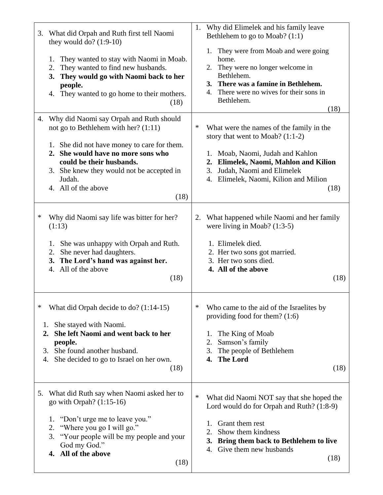|    | 3. What did Orpah and Ruth first tell Naomi<br>they would do? $(1:9-10)$<br>They wanted to stay with Naomi in Moab.<br>1.<br>They wanted to find new husbands.<br>2.<br>They would go with Naomi back to her<br>3.<br>people.<br>They wanted to go home to their mothers.<br>4.<br>(18)  | 1. | Why did Elimelek and his family leave<br>Bethlehem to go to Moab? (1:1)<br>1.<br>They were from Moab and were going<br>home.<br>They were no longer welcome in<br>2.<br>Bethlehem.<br>3. There was a famine in Bethlehem.<br>There were no wives for their sons in<br>4.<br>Bethlehem.<br>(18) |
|----|------------------------------------------------------------------------------------------------------------------------------------------------------------------------------------------------------------------------------------------------------------------------------------------|----|------------------------------------------------------------------------------------------------------------------------------------------------------------------------------------------------------------------------------------------------------------------------------------------------|
| 4. | Why did Naomi say Orpah and Ruth should<br>not go to Bethlehem with her? $(1:11)$<br>1. She did not have money to care for them.<br>2. She would have no more sons who<br>could be their husbands.<br>3. She knew they would not be accepted in<br>Judah.<br>4. All of the above<br>(18) | ∗  | What were the names of the family in the<br>story that went to Moab? (1:1-2)<br>1. Moab, Naomi, Judah and Kahlon<br>Elimelek, Naomi, Mahlon and Kilion<br>2.<br>Judah, Naomi and Elimelek<br>3.<br>Elimelek, Naomi, Kilion and Milion<br>4.<br>(18)                                            |
| ∗  | Why did Naomi say life was bitter for her?<br>(1:13)<br>She was unhappy with Orpah and Ruth.<br>1.<br>She never had daughters.<br>2.<br>3. The Lord's hand was against her.<br>4. All of the above<br>(18)                                                                               |    | 2. What happened while Naomi and her family<br>were living in Moab? $(1:3-5)$<br>1. Elimelek died.<br>2. Her two sons got married.<br>3. Her two sons died.<br>4. All of the above<br>(18)                                                                                                     |
| ∗  | What did Orpah decide to do? (1:14-15)<br>She stayed with Naomi.<br>1.<br>She left Naomi and went back to her<br>2.<br>people.<br>She found another husband.<br>3.<br>She decided to go to Israel on her own.<br>4.<br>(18)                                                              | ∗  | Who came to the aid of the Israelites by<br>providing food for them? $(1:6)$<br>The King of Moab<br>1.<br>Samson's family<br>2.<br>The people of Bethlehem<br>3.<br><b>The Lord</b><br>4.<br>(18)                                                                                              |
|    | 5. What did Ruth say when Naomi asked her to<br>go with Orpah? $(1:15-16)$<br>"Don't urge me to leave you."<br>1.<br>"Where you go I will go."<br>2.<br>"Your people will be my people and your<br>3.<br>God my God."<br>4. All of the above<br>(18)                                     | ∗  | What did Naomi NOT say that she hoped the<br>Lord would do for Orpah and Ruth? (1:8-9)<br>Grant them rest<br>1.<br>Show them kindness<br>2.<br>Bring them back to Bethlehem to live<br>3.<br>Give them new husbands<br>4.<br>(18)                                                              |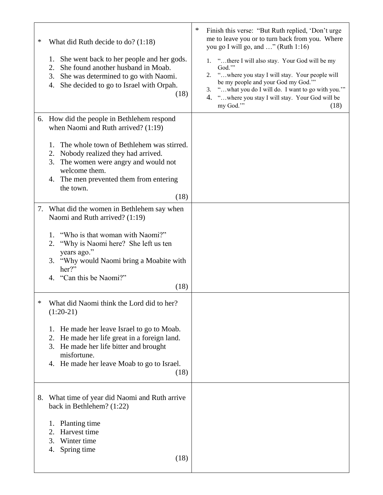| ∗ | What did Ruth decide to do? (1:18)<br>She went back to her people and her gods.<br>1.<br>She found another husband in Moab.<br>2.<br>3.<br>She was determined to go with Naomi.<br>She decided to go to Israel with Orpah.<br>4.<br>(18) | ∗<br>Finish this verse: "But Ruth replied, 'Don't urge<br>me to leave you or to turn back from you. Where<br>you go I will go, and " (Ruth 1:16)<br>1. "there I will also stay. Your God will be my<br>God."<br>"where you stay I will stay. Your people will<br>2.<br>be my people and your God my God."<br>"what you do I will do. I want to go with you."<br>3.<br>"where you stay I will stay. Your God will be<br>4.<br>my God."<br>(18) |
|---|------------------------------------------------------------------------------------------------------------------------------------------------------------------------------------------------------------------------------------------|-----------------------------------------------------------------------------------------------------------------------------------------------------------------------------------------------------------------------------------------------------------------------------------------------------------------------------------------------------------------------------------------------------------------------------------------------|
|   | 6. How did the people in Bethlehem respond<br>when Naomi and Ruth arrived? (1:19)                                                                                                                                                        |                                                                                                                                                                                                                                                                                                                                                                                                                                               |
|   | The whole town of Bethlehem was stirred.<br>1.<br>Nobody realized they had arrived.<br>2.<br>The women were angry and would not<br>3.<br>welcome them.<br>4. The men prevented them from entering<br>the town.<br>(18)                   |                                                                                                                                                                                                                                                                                                                                                                                                                                               |
|   | 7. What did the women in Bethlehem say when                                                                                                                                                                                              |                                                                                                                                                                                                                                                                                                                                                                                                                                               |
|   | Naomi and Ruth arrived? (1:19)<br>"Who is that woman with Naomi?"<br>1.<br>"Why is Naomi here? She left us ten<br>2.<br>years ago."<br>"Why would Naomi bring a Moabite with<br>3.<br>her?"<br>4. "Can this be Naomi?"<br>(18)           |                                                                                                                                                                                                                                                                                                                                                                                                                                               |
| ∗ | What did Naomi think the Lord did to her?<br>$(1:20-21)$                                                                                                                                                                                 |                                                                                                                                                                                                                                                                                                                                                                                                                                               |
|   | He made her leave Israel to go to Moab.<br>1.<br>He made her life great in a foreign land.<br>2.<br>3. He made her life bitter and brought<br>misfortune.<br>4. He made her leave Moab to go to Israel.<br>(18)                          |                                                                                                                                                                                                                                                                                                                                                                                                                                               |
|   | 8. What time of year did Naomi and Ruth arrive<br>back in Bethlehem? (1:22)                                                                                                                                                              |                                                                                                                                                                                                                                                                                                                                                                                                                                               |
|   | Planting time<br>1.<br>Harvest time<br>2.<br>3.<br>Winter time<br>Spring time<br>4.<br>(18)                                                                                                                                              |                                                                                                                                                                                                                                                                                                                                                                                                                                               |